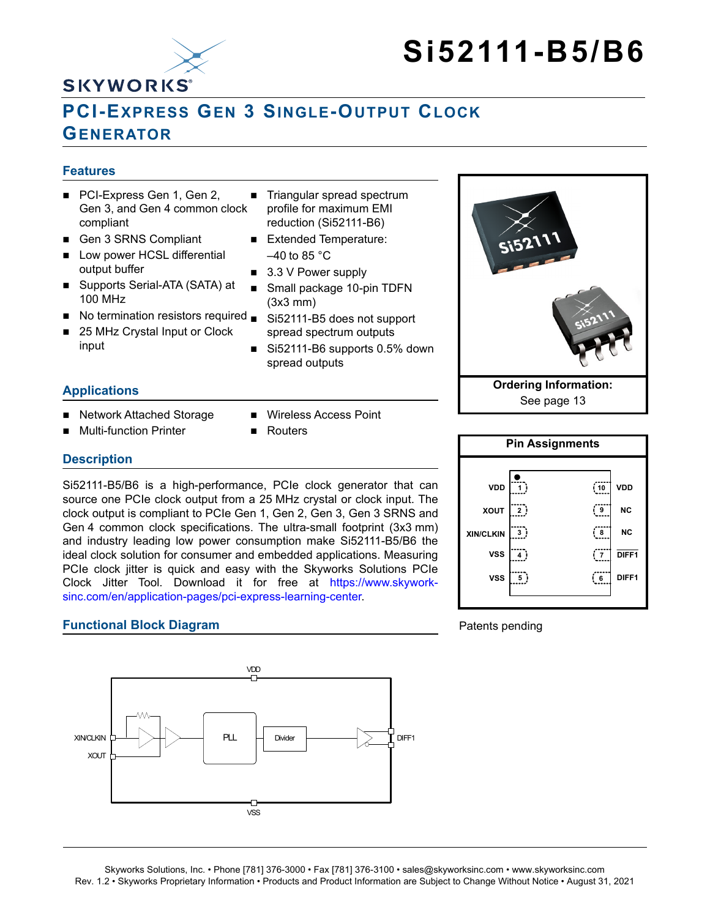

# **Si52111-B5/B6**

### **PCI-EXPRESS GEN 3 SINGLE-OUTPUT CLOCK GENERATOR**

#### **Features**

- PCI-Express Gen 1, Gen 2, Gen 3, and Gen 4 common clock compliant
- Gen 3 SRNS Compliant
- Low power HCSL differential output buffer
- Supports Serial-ATA (SATA) at 100 MHz
- No termination resistors required Si52111-B5 does not support
- 25 MHz Crystal Input or Clock input
- Triangular spread spectrum profile for maximum EMI reduction (Si52111-B6)
- Extended Temperature:  $-40$  to 85  $^{\circ}$ C
- $\blacksquare$  3.3 V Power supply
- Small package 10-pin TDFN (3x3 mm)
- spread spectrum outputs
- Si52111-B6 supports 0.5% down spread outputs

#### **Applications**

- Network Attached Storage
- Multi-function Printer
- **Nireless Access Point**
- Routers

#### **Description**

Si52111-B5/B6 is a high-performance, PCIe clock generator that can source one PCIe clock output from a 25 MHz crystal or clock input. The clock output is compliant to PCIe Gen 1, Gen 2, Gen 3, Gen 3 SRNS and Gen 4 common clock specifications. The ultra-small footprint (3x3 mm) and industry leading low power consumption make Si52111-B5/B6 the ideal clock solution for consumer and embedded applications. Measuring PCIe clock jitter is quick and easy with the Skyworks Solutions PCIe Clock Jitter Tool. Download it for free at [https://www.skywork](https://www.skyworksinc.com/en/application-pages/pci-express-learning-center)[sinc.com/en/application-pages/pci-express-learning-center.](https://www.skyworksinc.com/en/application-pages/pci-express-learning-center)

#### **Functional Block Diagram**





#### Patents pending

Skyworks Solutions, Inc. • Phone [781] 376-3000 • Fax [781] 376-3100 • sales@skyworksinc.com • www.skyworksinc.com Rev. 1.2 • Skyworks Proprietary Information • Products and Product Information are Subject to Change Without Notice • August 31, 2021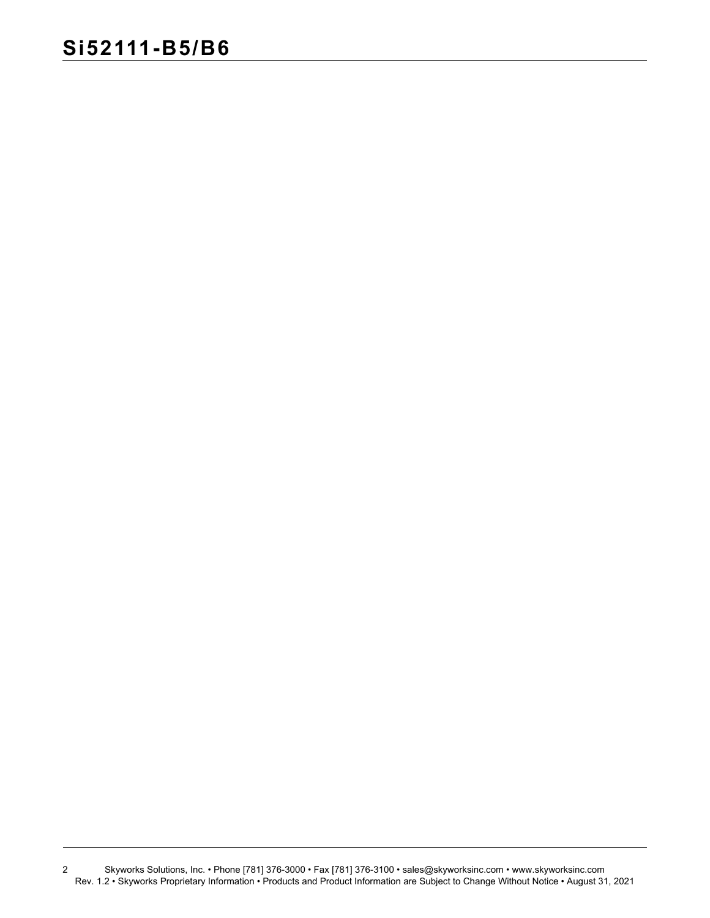2 Skyworks Solutions, Inc. • Phone [781] 376-3000 • Fax [781] 376-3100 • sales@skyworksinc.com • www.skyworksinc.com Rev. 1.2 • Skyworks Proprietary Information • Products and Product Information are Subject to Change Without Notice • August 31, 2021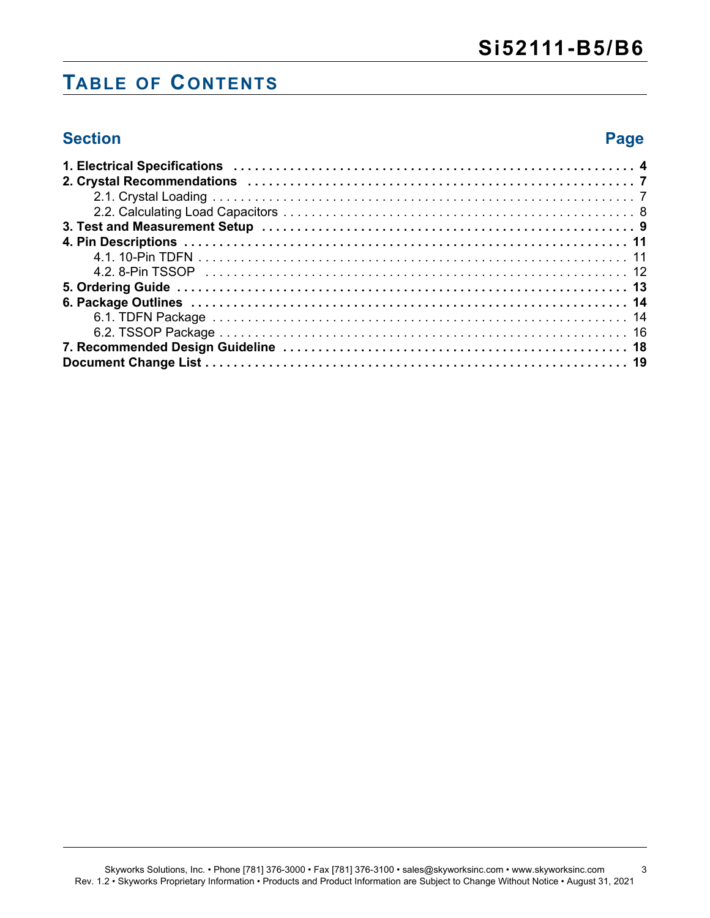### **TABLE OF CONTENTS**

#### **Section Page**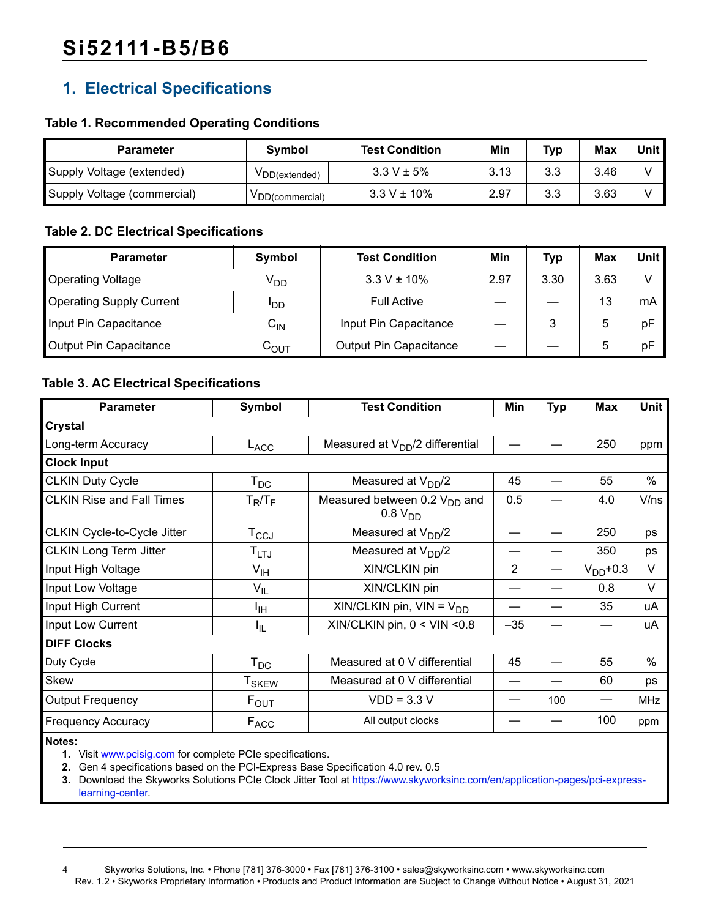### **1. Electrical Specifications**

#### **Table 1. Recommended Operating Conditions**

| <b>Parameter</b>            | Symbol                    | <b>Test Condition</b> | Min  | Typ | Max  | Jnit I |
|-----------------------------|---------------------------|-----------------------|------|-----|------|--------|
| Supply Voltage (extended)   | <sup>V</sup> DD(extended) | $3.3 V \pm 5\%$       | 3.13 | 3.3 | 3.46 |        |
| Supply Voltage (commercial) | VDD(commercial)           | $3.3 V \pm 10\%$      | 2.97 | 3.3 | 3.63 |        |

#### **Table 2. DC Electrical Specifications**

| <b>Parameter</b>                | Symbol            | <b>Test Condition</b>         | Min  | <b>Typ</b> | Max  | Unit l |
|---------------------------------|-------------------|-------------------------------|------|------------|------|--------|
| <b>Operating Voltage</b>        | V <sub>DD</sub>   | $3.3 V \pm 10\%$              | 2.97 | 3.30       | 3.63 |        |
| <b>Operating Supply Current</b> | ססי               | <b>Full Active</b>            |      |            | 13   | mA     |
| Input Pin Capacitance           | $C_{\mathsf{IN}}$ | Input Pin Capacitance         |      |            |      | рF     |
| Output Pin Capacitance          | $U_{\text{OUT}}$  | <b>Output Pin Capacitance</b> |      |            |      | рF     |

#### <span id="page-3-0"></span>**Table 3. AC Electrical Specifications**

| <b>Parameter</b><br>Symbol       |                   | <b>Test Condition</b>                                    | Min   | <b>Typ</b> | <b>Max</b>  | <b>Unit</b>   |
|----------------------------------|-------------------|----------------------------------------------------------|-------|------------|-------------|---------------|
| <b>Crystal</b>                   |                   |                                                          |       |            |             |               |
| Long-term Accuracy               | LACC              | Measured at $V_{DD}/2$ differential                      |       |            | 250         | ppm           |
| <b>Clock Input</b>               |                   |                                                          |       |            |             |               |
| <b>CLKIN Duty Cycle</b>          | $T_{DC}$          | Measured at $V_{DD}/2$                                   | 45    |            | 55          | $\frac{0}{0}$ |
| <b>CLKIN Rise and Fall Times</b> | $T_R/T_F$         | Measured between 0.2 $V_{DD}$ and<br>0.8 V <sub>DD</sub> | 0.5   |            | 4.0         | V/ns          |
| CLKIN Cycle-to-Cycle Jitter      | $T_{\rm CCJ}$     | Measured at $V_{DD}/2$                                   |       |            | 250         | ps            |
| <b>CLKIN Long Term Jitter</b>    | T <sub>LTJ</sub>  | Measured at V <sub>DD</sub> /2                           |       |            | 350         | ps            |
| Input High Voltage               | $V_{\text{IH}}$   | XIN/CLKIN pin                                            | 2     |            | $VDD + 0.3$ | $\vee$        |
| Input Low Voltage                | $V_{IL}$          | XIN/CLKIN pin                                            |       |            | 0.8         | $\vee$        |
| Input High Current               | ŀщ                | XIN/CLKIN pin, $VIN = VDD$                               |       |            | 35          | uA            |
| Input Low Current                | ŀμ                | XIN/CLKIN pin, $0 <$ VIN < 0.8                           | $-35$ |            |             | uA            |
| <b>DIFF Clocks</b>               |                   |                                                          |       |            |             |               |
| Duty Cycle                       | $T_{DC}$          | Measured at 0 V differential                             | 45    |            | 55          | $\%$          |
| <b>Skew</b>                      | T <sub>SKEW</sub> | Measured at 0 V differential                             |       |            | 60          | ps            |
| <b>Output Frequency</b>          | $F_{\text{OUT}}$  | $VDD = 3.3 V$                                            |       | 100        | —           | <b>MHz</b>    |
| <b>Frequency Accuracy</b>        | $F_{ACC}$         | All output clocks                                        |       |            | 100         | ppm           |

**Notes:**

**1.** Visit<www.pcisig.com> for complete PCIe specifications.

**2.** Gen 4 specifications based on the PCI-Express Base Specification 4.0 rev. 0.5

**3.** Download the Skyworks Solutions PCIe Clock Jitter Tool at [https://www.skyworksinc.com/en/application-pages/pci-express](https://www.skyworksinc.com/en/application-pages/pci-express-learning-center)[learning-center](https://www.skyworksinc.com/en/application-pages/pci-express-learning-center).

4 Skyworks Solutions, Inc. • Phone [781] 376-3000 • Fax [781] 376-3100 • sales@skyworksinc.com • www.skyworksinc.com Rev. 1.2 • Skyworks Proprietary Information • Products and Product Information are Subject to Change Without Notice • August 31, 2021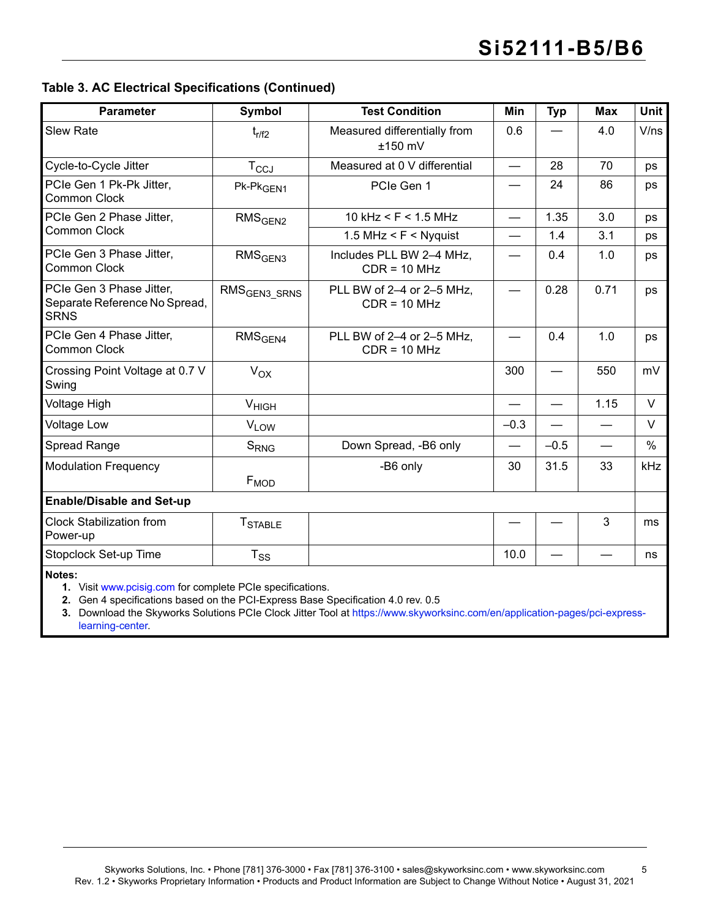#### **Table 3. AC Electrical Specifications (Continued)**

| <b>Parameter</b>                                                         | <b>Symbol</b>                  | <b>Test Condition</b>                       | Min                      | <b>Typ</b> | <b>Max</b> | Unit   |
|--------------------------------------------------------------------------|--------------------------------|---------------------------------------------|--------------------------|------------|------------|--------|
| <b>Slew Rate</b>                                                         | $t_{r/f2}$                     | Measured differentially from<br>±150 mV     | 0.6                      |            | 4.0        | V/ns   |
| Cycle-to-Cycle Jitter                                                    | $T_{CCJ}$                      | Measured at 0 V differential                |                          | 28         | 70         | ps     |
| PCIe Gen 1 Pk-Pk Jitter,<br><b>Common Clock</b>                          | Pk-Pk <sub>GEN1</sub>          | PCIe Gen 1                                  |                          | 24         | 86         | ps     |
| PCIe Gen 2 Phase Jitter,                                                 | $\mathsf{RMS}_{\mathsf{GEN2}}$ | 10 kHz < $F$ < 1.5 MHz                      | $\overline{\phantom{0}}$ | 1.35       | 3.0        | ps     |
| <b>Common Clock</b>                                                      |                                | 1.5 MHz < $F$ < Nyquist                     |                          | 1.4        | 3.1        | ps     |
| PCIe Gen 3 Phase Jitter,<br><b>Common Clock</b>                          | $\mathsf{RMS}_{\mathsf{GEN3}}$ | Includes PLL BW 2-4 MHz,<br>$CDR = 10 MHz$  |                          | 0.4        | 1.0        | ps     |
| PCIe Gen 3 Phase Jitter,<br>Separate Reference No Spread,<br><b>SRNS</b> | RMS <sub>GEN3_SRNS</sub>       | PLL BW of 2-4 or 2-5 MHz,<br>$CDR = 10 MHz$ |                          | 0.28       | 0.71       | ps     |
| PCIe Gen 4 Phase Jitter,<br>Common Clock                                 | $\mathsf{RMS}_{\mathsf{GEN4}}$ | PLL BW of 2-4 or 2-5 MHz,<br>$CDR = 10 MHz$ |                          | 0.4        | 1.0        | ps     |
| Crossing Point Voltage at 0.7 V<br>Swing                                 | $V_{OX}$                       |                                             | 300                      |            | 550        | mV     |
| Voltage High                                                             | VHIGH                          |                                             |                          | —          | 1.15       | V      |
| <b>Voltage Low</b>                                                       | <b>V<sub>LOW</sub></b>         |                                             | $-0.3$                   |            |            | $\vee$ |
| Spread Range                                                             | $S_{RNG}$                      | Down Spread, -B6 only                       |                          | $-0.5$     |            | $\%$   |
| <b>Modulation Frequency</b>                                              | F <sub>MOD</sub>               | -B6 only                                    | 30                       | 31.5       | 33         | kHz    |
| <b>Enable/Disable and Set-up</b>                                         |                                |                                             |                          |            |            |        |
| <b>Clock Stabilization from</b><br>Power-up                              | <b>T</b> STABLE                |                                             |                          |            | 3          | ms     |
| Stopclock Set-up Time                                                    | $T_{SS}$                       |                                             | 10.0                     |            |            | ns     |

**Notes:**

**1.** Visit www.pcisig.com for complete PCIe specifications.

**2.** Gen 4 specifications based on the PCI-Express Base Specification 4.0 rev. 0.5

**3.** Download the Skyworks Solutions PCIe Clock Jitter Tool at https://www.skyworksinc.com/en/application-pages/pci-expresslearning-center.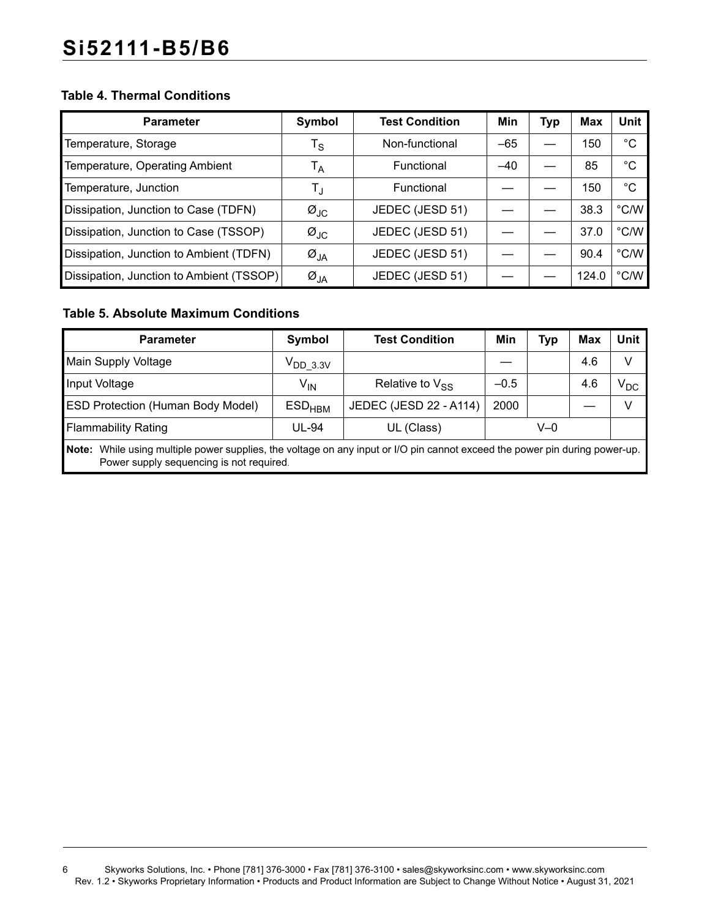#### **Table 4. Thermal Conditions**

| <b>Parameter</b>                         | Symbol                      | <b>Test Condition</b> | Min   | <b>Typ</b> | <b>Max</b> | <b>Unit</b>   |
|------------------------------------------|-----------------------------|-----------------------|-------|------------|------------|---------------|
| Temperature, Storage                     | $\mathsf{T}_\mathsf{S}$     | Non-functional        | $-65$ |            | 150        | °C            |
| Temperature, Operating Ambient           | $T_A$                       | Functional            | $-40$ |            | 85         | °C            |
| Temperature, Junction                    | $\mathsf{T}_\mathsf{J}$     | Functional            |       |            | 150        | °C            |
| Dissipation, Junction to Case (TDFN)     | $\varnothing$ JC            | JEDEC (JESD 51)       |       |            | 38.3       | $\degree$ C/W |
| Dissipation, Junction to Case (TSSOP)    | $\varnothing$ <sub>JC</sub> | JEDEC (JESD 51)       |       |            | 37.0       | $\degree$ C/W |
| Dissipation, Junction to Ambient (TDFN)  | $\varnothing_{JA}$          | JEDEC (JESD 51)       |       |            | 90.4       | $\degree$ C/W |
| Dissipation, Junction to Ambient (TSSOP) | $\varnothing_{\mathsf{JA}}$ | JEDEC (JESD 51)       |       |            | 124.0      | $\degree$ C/W |

#### **Table 5. Absolute Maximum Conditions**

| <b>Parameter</b>                         | Symbol                                                                                                                                                                  | <b>Test Condition</b>  | Min    | Typ | Max | Unit     |  |  |  |  |
|------------------------------------------|-------------------------------------------------------------------------------------------------------------------------------------------------------------------------|------------------------|--------|-----|-----|----------|--|--|--|--|
| <b>Main Supply Voltage</b>               | $VDD$ 3.3V                                                                                                                                                              |                        |        |     | 4.6 | v        |  |  |  |  |
| Input Voltage                            | V <sub>IN</sub>                                                                                                                                                         | Relative to $V_{SS}$   | $-0.5$ |     | 4.6 | $V_{DC}$ |  |  |  |  |
| <b>ESD Protection (Human Body Model)</b> | ESD <sub>HBM</sub>                                                                                                                                                      | JEDEC (JESD 22 - A114) | 2000   |     |     | v        |  |  |  |  |
| <b>Flammability Rating</b>               | <b>UL-94</b>                                                                                                                                                            | UL (Class)             | $V=0$  |     |     |          |  |  |  |  |
|                                          | Note: While using multiple power supplies, the voltage on any input or I/O pin cannot exceed the power pin during power-up.<br>Power supply sequencing is not required. |                        |        |     |     |          |  |  |  |  |

<sup>6</sup> Skyworks Solutions, Inc. • Phone [781] 376-3000 • Fax [781] 376-3100 • sales@skyworksinc.com • www.skyworksinc.com Rev. 1.2 • Skyworks Proprietary Information • Products and Product Information are Subject to Change Without Notice • August 31, 2021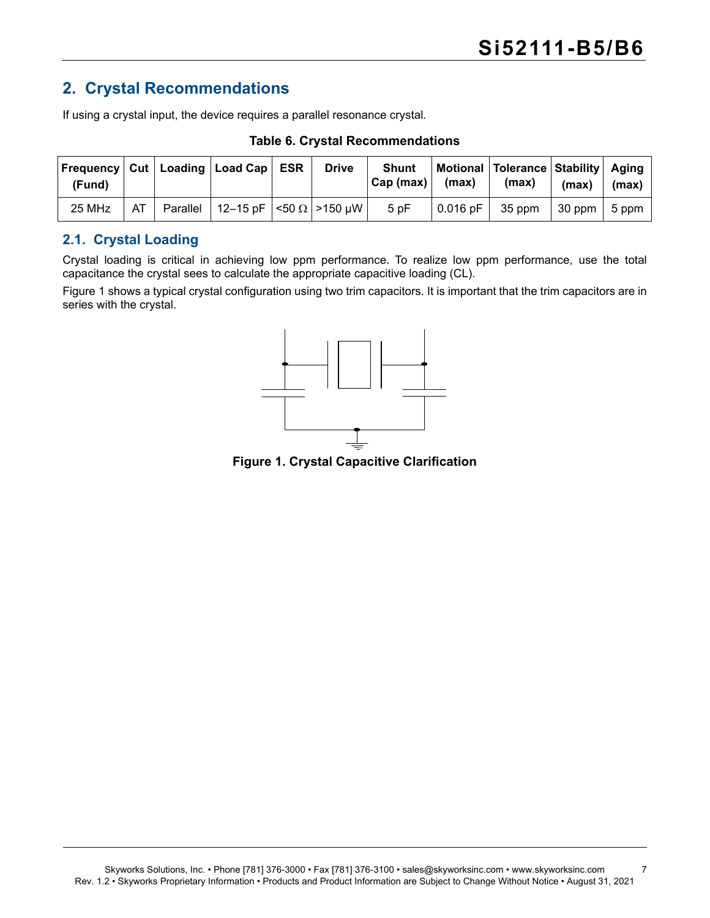#### <span id="page-6-0"></span>**2. Crystal Recommendations**

If using a crystal input, the device requires a parallel resonance crystal.

| Frequency   Cut   Loading   Load Cap   ESR<br>(Fund) |    |                                               | <b>Drive</b> | <b>Shunt</b><br>$Cap$ (max) | (max)    | Motional Tolerance Stability Aging<br>(max) | (max)  | (max) |
|------------------------------------------------------|----|-----------------------------------------------|--------------|-----------------------------|----------|---------------------------------------------|--------|-------|
| 25 MHz                                               | AT | Parallel   12-15 pF $ \leq 50 \Omega$ >150 µW |              | 5 pF                        | 0.016 pF | 35 ppm                                      | 30 ppm | 5 ppm |

**Table 6. Crystal Recommendations**

#### <span id="page-6-1"></span>**2.1. Crystal Loading**

Crystal loading is critical in achieving low ppm performance. To realize low ppm performance, use the total capacitance the crystal sees to calculate the appropriate capacitive loading (CL).

<span id="page-6-2"></span>[Figure 1](#page-6-2) shows a typical crystal configuration using two trim capacitors. It is important that the trim capacitors are in series with the crystal.



**Figure 1. Crystal Capacitive Clarification**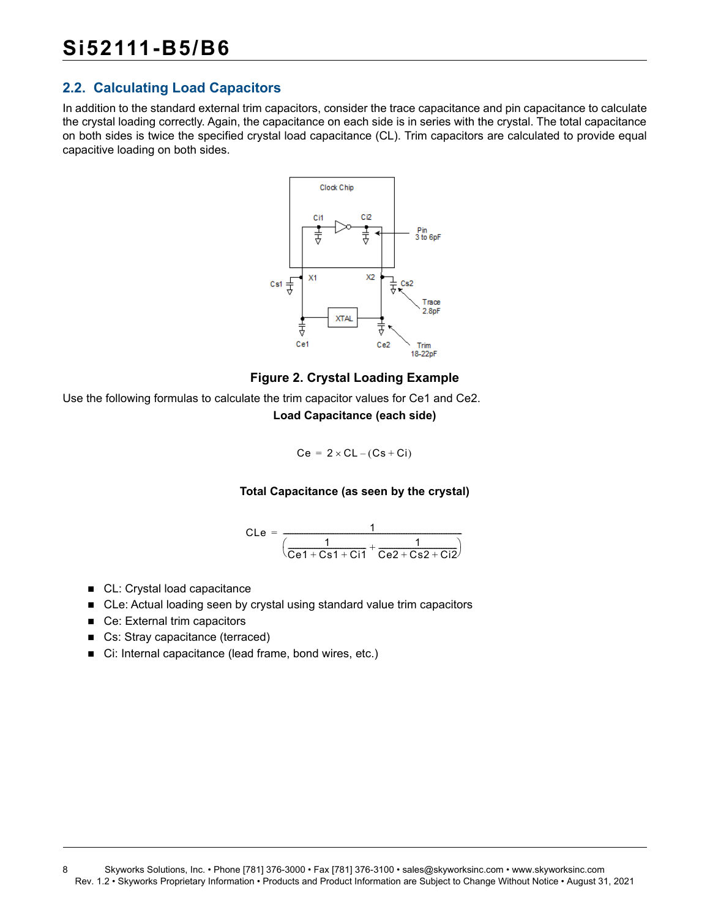#### <span id="page-7-0"></span>**2.2. Calculating Load Capacitors**

In addition to the standard external trim capacitors, consider the trace capacitance and pin capacitance to calculate the crystal loading correctly. Again, the capacitance on each side is in series with the crystal. The total capacitance on both sides is twice the specified crystal load capacitance (CL). Trim capacitors are calculated to provide equal capacitive loading on both sides.



**Figure 2. Crystal Loading Example**

Use the following formulas to calculate the trim capacitor values for Ce1 and Ce2. **Load Capacitance (each side)**

$$
Ce = 2 \times CL - (Cs + Ci)
$$

#### **Total Capacitance (as seen by the crystal)**

$$
CLe = \frac{1}{\left(\frac{1}{Ce1 + Cs1 + Ci1} + \frac{1}{Ce2 + Cs2 + Ci2}\right)}
$$

- CL: Crystal load capacitance
- CLe: Actual loading seen by crystal using standard value trim capacitors
- Ce: External trim capacitors
- Cs: Stray capacitance (terraced)
- Ci: Internal capacitance (lead frame, bond wires, etc.)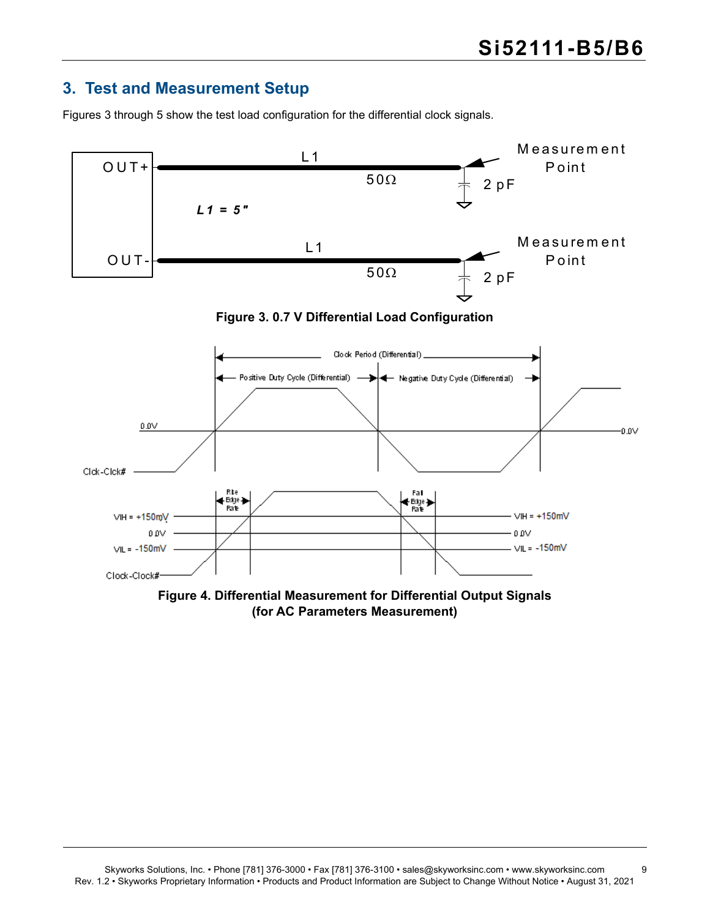#### <span id="page-8-0"></span>**3. Test and Measurement Setup**

Figures [3](#page-8-1) through [5](#page-9-0) show the test load configuration for the differential clock signals.

<span id="page-8-1"></span>

**(for AC Parameters Measurement)**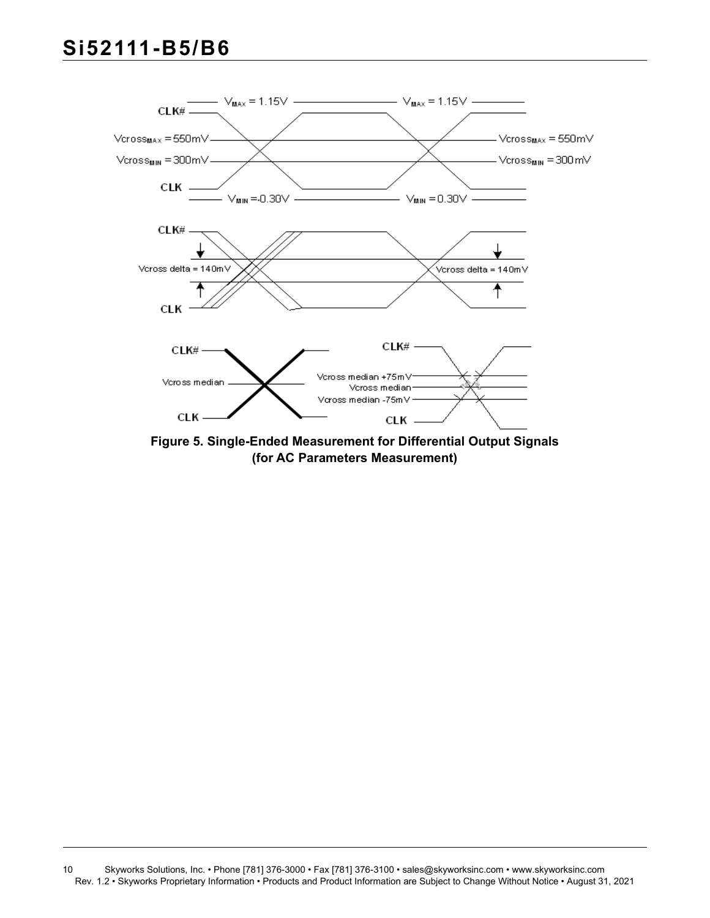

<span id="page-9-0"></span>**(for AC Parameters Measurement)**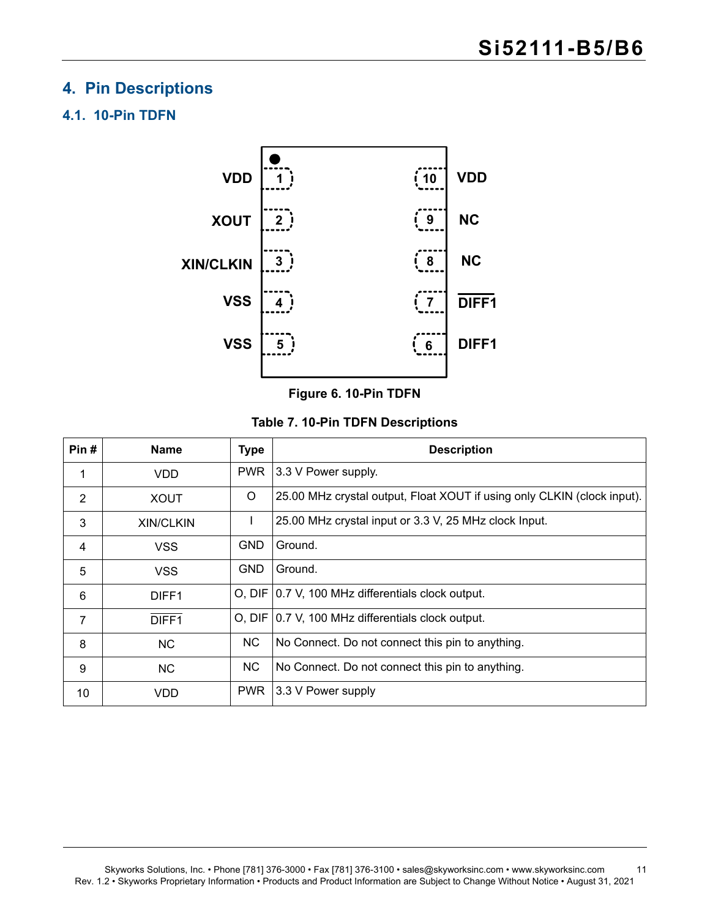### <span id="page-10-0"></span>**4. Pin Descriptions**

#### <span id="page-10-1"></span>**4.1. 10-Pin TDFN**



**Figure 6. 10-Pin TDFN**

#### **Table 7. 10-Pin TDFN Descriptions**

| Pin# | <b>Name</b>       | <b>Type</b> | <b>Description</b>                                                      |
|------|-------------------|-------------|-------------------------------------------------------------------------|
| 1    | <b>VDD</b>        | <b>PWR</b>  | 3.3 V Power supply.                                                     |
| 2    | <b>XOUT</b>       | O           | 25.00 MHz crystal output, Float XOUT if using only CLKIN (clock input). |
| 3    | <b>XIN/CLKIN</b>  | Ι.          | 25.00 MHz crystal input or 3.3 V, 25 MHz clock Input.                   |
| 4    | <b>VSS</b>        | <b>GND</b>  | Ground.                                                                 |
| 5    | <b>VSS</b>        | <b>GND</b>  | Ground.                                                                 |
| 6    | DIFF <sub>1</sub> |             | O, DIF   0.7 V, 100 MHz differentials clock output.                     |
| 7    | DIFF <sub>1</sub> |             | O, DIF   0.7 V, 100 MHz differentials clock output.                     |
| 8    | N <sub>C</sub>    | NC.         | No Connect. Do not connect this pin to anything.                        |
| 9    | NC.               | <b>NC</b>   | No Connect. Do not connect this pin to anything.                        |
| 10   | VDD               | <b>PWR</b>  | 3.3 V Power supply                                                      |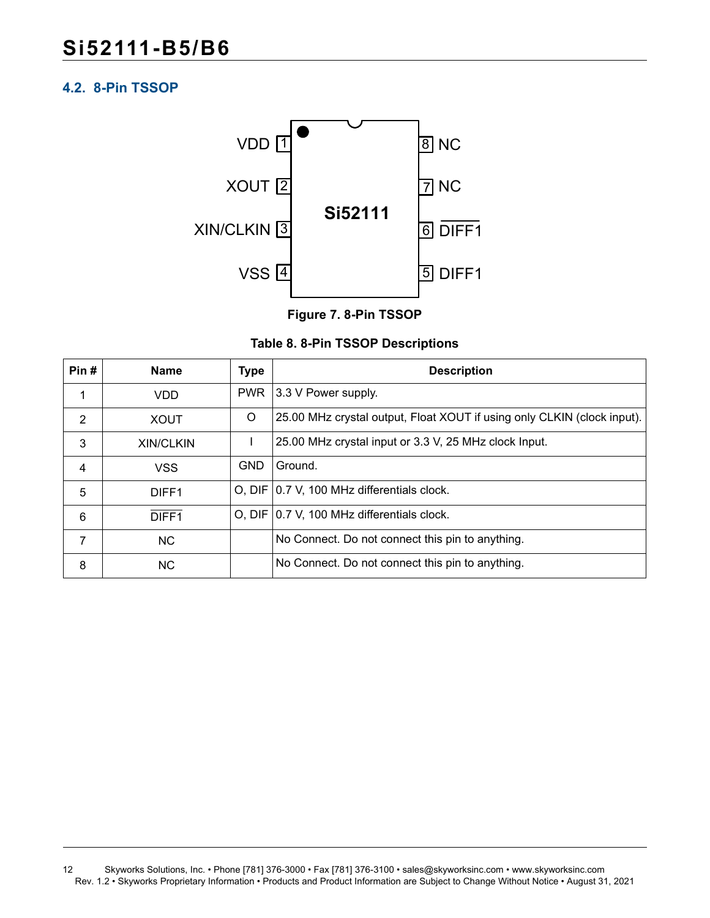## **Si52111-B5/B6**

#### <span id="page-11-0"></span>**4.2. 8-Pin TSSOP**



**Figure 7. 8-Pin TSSOP**

| Table 8. 8-Pin TSSOP Descriptions |  |  |  |  |
|-----------------------------------|--|--|--|--|
|-----------------------------------|--|--|--|--|

| Pin# | <b>Name</b>       | <b>Type</b> | <b>Description</b>                                                      |
|------|-------------------|-------------|-------------------------------------------------------------------------|
| 1    | <b>VDD</b>        | <b>PWR</b>  | 3.3 V Power supply.                                                     |
| 2    | <b>XOUT</b>       | O           | 25.00 MHz crystal output, Float XOUT if using only CLKIN (clock input). |
| 3    | <b>XIN/CLKIN</b>  |             | 25.00 MHz crystal input or 3.3 V, 25 MHz clock Input.                   |
| 4    | <b>VSS</b>        | <b>GND</b>  | Ground.                                                                 |
| 5    | DIFF <sub>1</sub> |             | O, DIF   0.7 V, 100 MHz differentials clock.                            |
| 6    | DIFF <sub>1</sub> |             | O, DIF   0.7 V, 100 MHz differentials clock.                            |
| 7    | NC.               |             | No Connect. Do not connect this pin to anything.                        |
| 8    | NC.               |             | No Connect. Do not connect this pin to anything.                        |

<sup>12</sup> Skyworks Solutions, Inc. • Phone [781] 376-3000 • Fax [781] 376-3100 • sales@skyworksinc.com • www.skyworksinc.com Rev. 1.2 • Skyworks Proprietary Information • Products and Product Information are Subject to Change Without Notice • August 31, 2021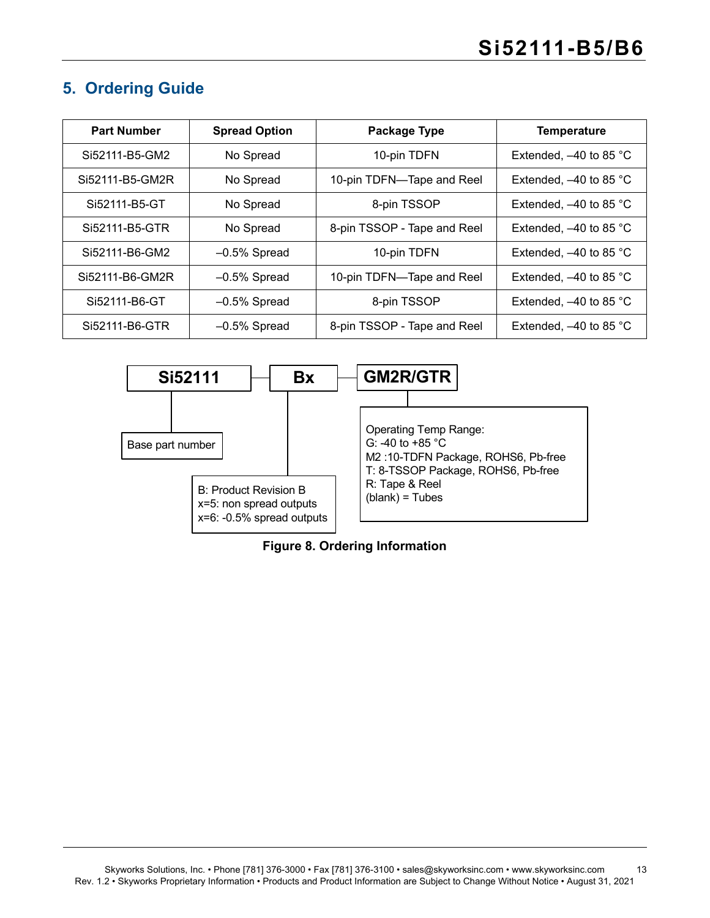#### <span id="page-12-0"></span>**5. Ordering Guide**

| <b>Part Number</b> | <b>Spread Option</b> | Package Type                | <b>Temperature</b>                 |
|--------------------|----------------------|-----------------------------|------------------------------------|
| Si52111-B5-GM2     | No Spread            | 10-pin TDFN                 | Extended, $-40$ to 85 $^{\circ}$ C |
| Si52111-B5-GM2R    | No Spread            | 10-pin TDFN-Tape and Reel   | Extended, $-40$ to 85 °C           |
| Si52111-B5-GT      | No Spread            | 8-pin TSSOP                 | Extended, $-40$ to 85 $^{\circ}$ C |
| Si52111-B5-GTR     | No Spread            | 8-pin TSSOP - Tape and Reel | Extended, $-40$ to 85 °C           |
| Si52111-B6-GM2     | $-0.5%$ Spread       | 10-pin TDFN                 | Extended, $-40$ to 85 $^{\circ}$ C |
| Si52111-B6-GM2R    | $-0.5%$ Spread       | 10-pin TDFN-Tape and Reel   | Extended, $-40$ to 85 $^{\circ}$ C |
| Si52111-B6-GT      | $-0.5%$ Spread       | 8-pin TSSOP                 | Extended, $-40$ to 85 $^{\circ}$ C |
| Si52111-B6-GTR     | $-0.5%$ Spread       | 8-pin TSSOP - Tape and Reel | Extended, $-40$ to 85 °C           |



**Figure 8. Ordering Information**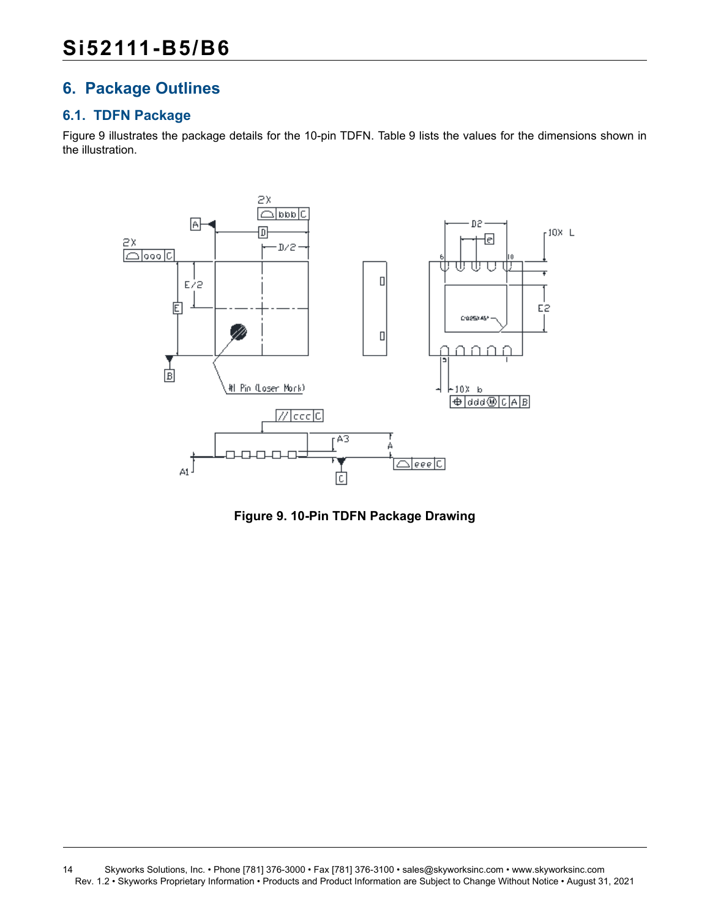### <span id="page-13-0"></span>**6. Package Outlines**

#### <span id="page-13-1"></span>**6.1. TDFN Package**

[Figure 9](#page-13-2) illustrates the package details for the 10-pin TDFN. [Table 9](#page-14-0) lists the values for the dimensions shown in the illustration.



<span id="page-13-2"></span>**Figure 9. 10-Pin TDFN Package Drawing**

<sup>14</sup> Skyworks Solutions, Inc. • Phone [781] 376-3000 • Fax [781] 376-3100 • sales@skyworksinc.com • www.skyworksinc.com Rev. 1.2 • Skyworks Proprietary Information • Products and Product Information are Subject to Change Without Notice • August 31, 2021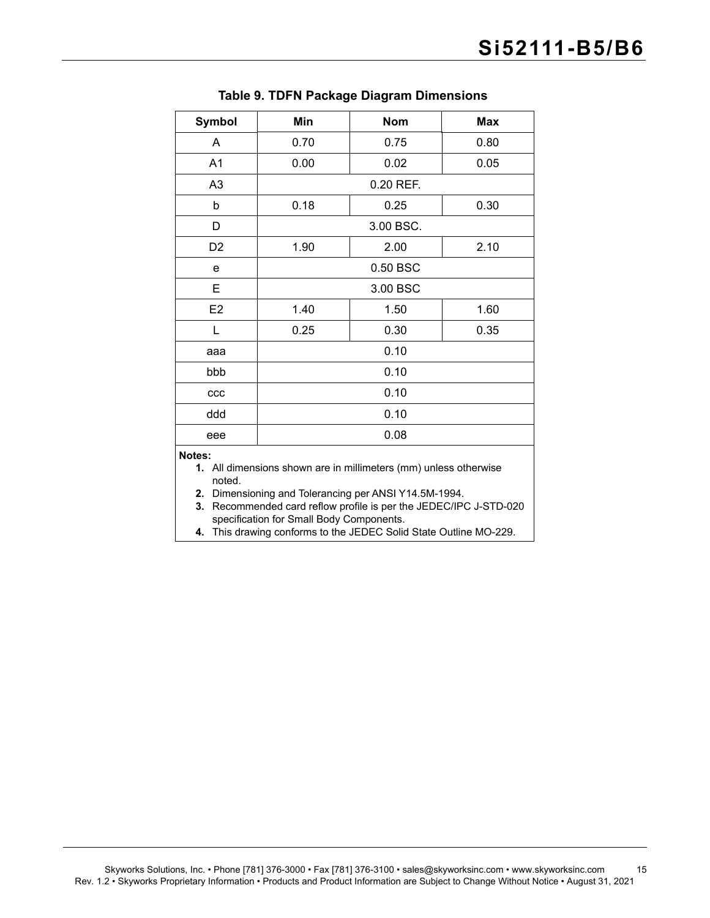<span id="page-14-0"></span>

| Symbol         | Min       | <b>Nom</b> | <b>Max</b> |
|----------------|-----------|------------|------------|
| A              | 0.70      | 0.75       | 0.80       |
| A <sub>1</sub> | 0.00      | 0.02       | 0.05       |
| A3             | 0.20 REF. |            |            |
| b              | 0.18      | 0.25       | 0.30       |
| D              | 3.00 BSC. |            |            |
| D <sub>2</sub> | 1.90      | 2.00       | 2.10       |
| e              | 0.50 BSC  |            |            |
| Е              | 3.00 BSC  |            |            |
| E2             | 1.40      | 1.50       | 1.60       |
| L              | 0.25      | 0.30       | 0.35       |
| aaa            | 0.10      |            |            |
| bbb            | 0.10      |            |            |
| ccc            | 0.10      |            |            |
| ddd            | 0.10      |            |            |
| eee            | 0.08      |            |            |
| Notes:         |           |            |            |

**Table 9. TDFN Package Diagram Dimensions**

**1.** All dimensions shown are in millimeters (mm) unless otherwise noted.

**2.** Dimensioning and Tolerancing per ANSI Y14.5M-1994.

**3.** Recommended card reflow profile is per the JEDEC/IPC J-STD-020 specification for Small Body Components.

**4.** This drawing conforms to the JEDEC Solid State Outline MO-229.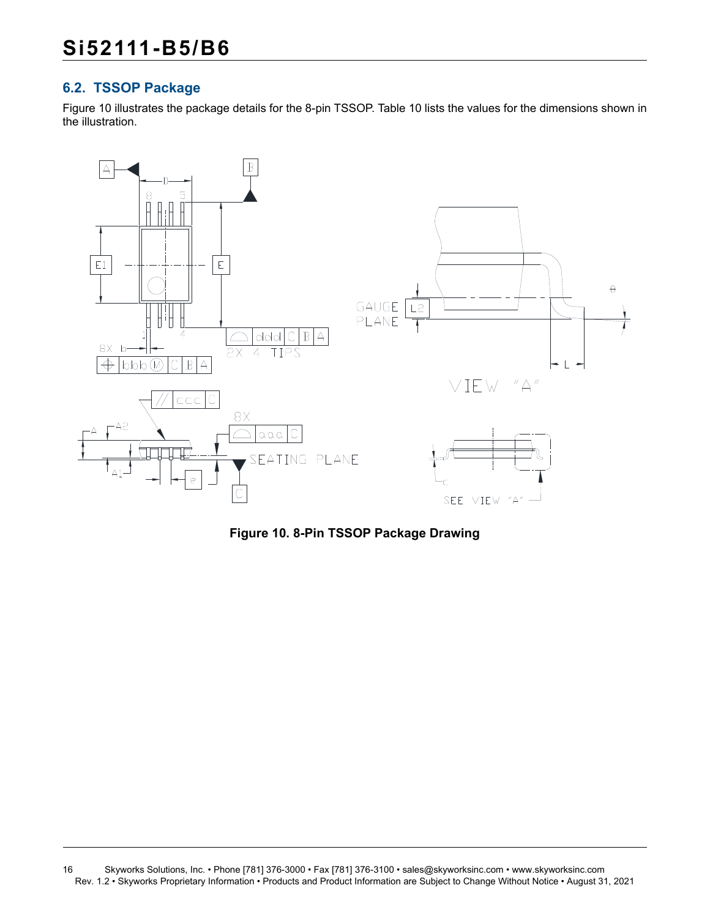#### <span id="page-15-0"></span>**6.2. TSSOP Package**

[Figure 10](#page-15-1) illustrates the package details for the 8-pin TSSOP. [Table 10](#page-16-0) lists the values for the dimensions shown in the illustration.



<span id="page-15-1"></span>**Figure 10. 8-Pin TSSOP Package Drawing**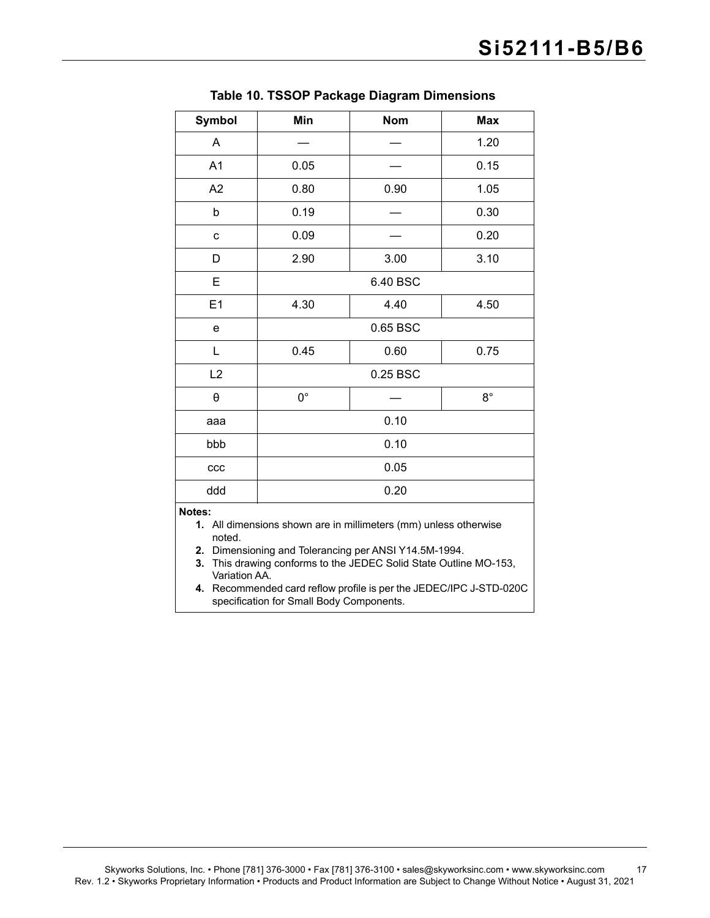<span id="page-16-0"></span>

| Symbol         | Min                               | <b>Nom</b>                                            | <b>Max</b>  |
|----------------|-----------------------------------|-------------------------------------------------------|-------------|
| Α              |                                   |                                                       | 1.20        |
| A1             | 0.05                              |                                                       | 0.15        |
| A2             | 0.80                              | 0.90                                                  | 1.05        |
| b              | 0.19                              |                                                       | 0.30        |
| C              | 0.09                              |                                                       | 0.20        |
| D              | 2.90                              | 3.00                                                  | 3.10        |
| Е              | 6.40 BSC                          |                                                       |             |
| E <sub>1</sub> | 4.30                              | 4.40                                                  | 4.50        |
| e              | 0.65 BSC                          |                                                       |             |
| Г              | 0.45                              | 0.60                                                  | 0.75        |
| L2             | 0.25 BSC                          |                                                       |             |
| θ              | $0^{\circ}$                       |                                                       | $8^{\circ}$ |
| aaa            | 0.10                              |                                                       |             |
| bbb            | 0.10                              |                                                       |             |
| ccc            | 0.05                              |                                                       |             |
| ddd            | 0.20                              |                                                       |             |
| Notes:         | $\sim$ $\sim$<br>$\sim$<br>$\sim$ | $\cdots$ . The set of $\cdots$ is the set of $\cdots$ |             |

**Table 10. TSSOP Package Diagram Dimensions**

**1.** All dimensions shown are in millimeters (mm) unless otherwise noted.

- **2.** Dimensioning and Tolerancing per ANSI Y14.5M-1994.
- **3.** This drawing conforms to the JEDEC Solid State Outline MO-153, Variation AA.
- **4.** Recommended card reflow profile is per the JEDEC/IPC J-STD-020C specification for Small Body Components.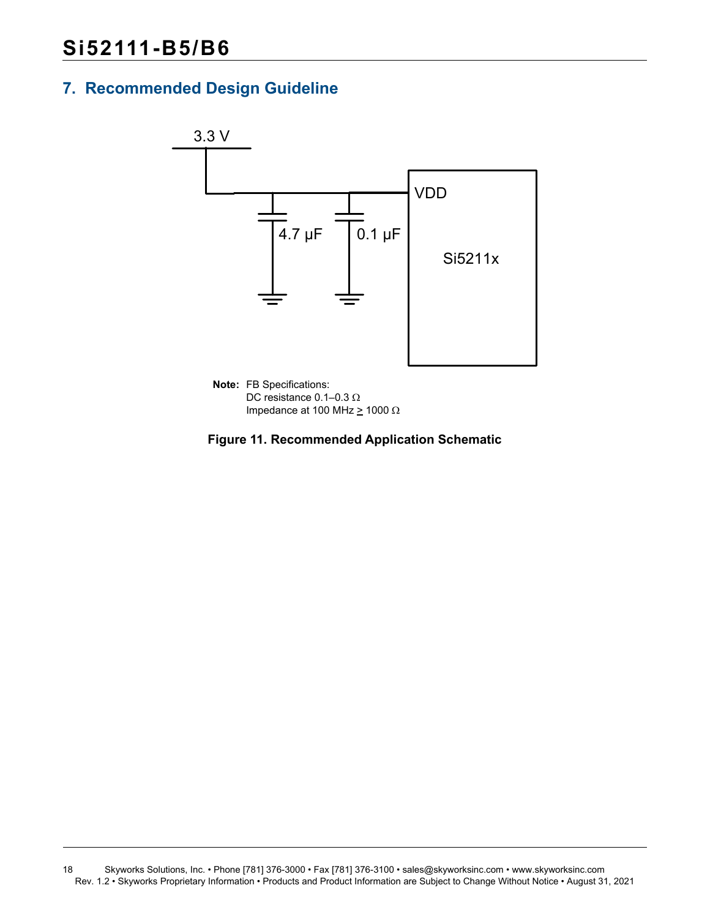#### <span id="page-17-0"></span>**7. Recommended Design Guideline**



**Figure 11. Recommended Application Schematic**

<sup>18</sup> Skyworks Solutions, Inc. • Phone [781] 376-3000 • Fax [781] 376-3100 • sales@skyworksinc.com • www.skyworksinc.com Rev. 1.2 • Skyworks Proprietary Information • Products and Product Information are Subject to Change Without Notice • August 31, 2021